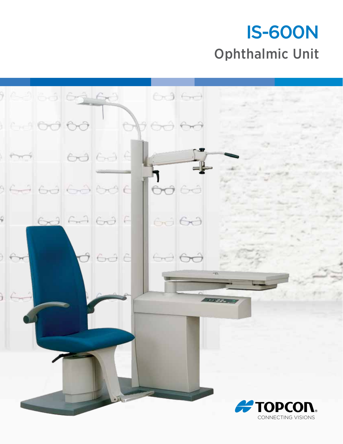# IS-600N Ophthalmic Unit

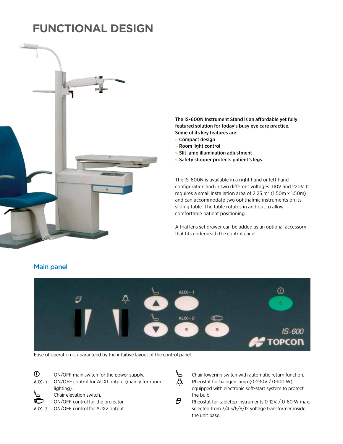# **functional design**



### featured solution for today's busy eye care practice. Some of its key features are: » Compact design

The IS-600N Instrument Stand is an affordable yet fully

- » Room light control
- » Slit lamp illumination adjustment
- » Safety stopper protects patient's legs

The IS-600N is available in a right hand or left hand configuration and in two different voltages: 110V and 220V. It requires a small installation area of 2.25 m² (1.50m x 1.50m) and can accommodate two ophthalmic instruments on its sliding table. The table rotates in and out to allow comfortable patient positioning.

A trial lens set drawer can be added as an optional accessory that fits underneath the control panel.



Ease of operation is guaranteed by the intuitive layout of the control panel.

 $\odot$ 

Main panel

- ON/OFF main switch for the power supply.
- **AUX 1** ON/OFF control for AUX1 output (mainly for room lighting). し

Chair elevation switch.



AUX - 2 ON/OFF control for AUX2 output.



P.

Chair lowering switch with automatic return function.  $\overline{D}$ , Rheostat for halogen lamp (0-230V / 0-100 W), equipped with electronic soft-start system to protect the bulb.

Rheostat for tabletop instruments 0-12V. / 0-60 W max. selected from 3/4.5/6/9/12 voltage transformer inside the unit base.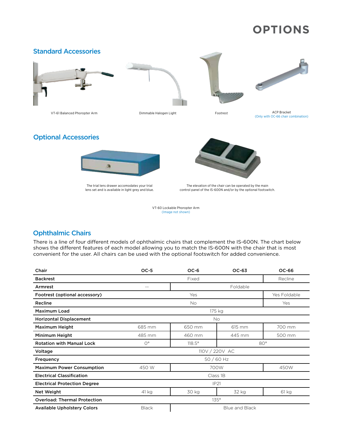# **options**



The trial lens drawer accomodates your trial lens set and is available in light grey and blue.

The elevation of the chair can be operated by the main control panel of the IS-600N and/or by the optional footswitch.

VT-60 Lockable Phoropter Arm (Image not shown)

### Ophthalmic Chairs

There is a line of four different models of ophthalmic chairs that complement the IS-600N. The chart below shows the different features of each model allowing you to match the IS-600N with the chair that is most convenient for the user. All chairs can be used with the optional footswitch for added convenience.

| Chair                               | $OC-5$                                | $OC-6$        | OC-63        | OC-66   |
|-------------------------------------|---------------------------------------|---------------|--------------|---------|
| <b>Backrest</b>                     |                                       | Fixed         |              | Recline |
| Armrest                             | Foldable<br>$\sim$ $-$                |               |              |         |
| Footrest (optional accessory)       | Yes                                   |               | Yes Foldable |         |
| Recline                             | No.                                   |               |              | Yes     |
| <b>Maximum Load</b>                 | 175 kg                                |               |              |         |
| <b>Horizontal Displacement</b>      | <b>No</b>                             |               |              |         |
| <b>Maximum Height</b>               | 685 mm                                | 650 mm        | 615 mm       | 700 mm  |
| Minimum Height                      | 485 mm                                | 460 mm        | 445 mm       | 500 mm  |
| <b>Rotation with Manual Lock</b>    | $O^{\circ}$                           | $118.5^\circ$ | $80^{\circ}$ |         |
| Voltage                             | 110V / 220V AC                        |               |              |         |
| Frequency                           | 50 / 60 Hz                            |               |              |         |
| <b>Maximum Power Consumption</b>    | 450 W                                 | 700W          |              | 450W    |
| <b>Electrical Classification</b>    | Class 1B                              |               |              |         |
| <b>Electrical Protection Degree</b> | <b>IP21</b>                           |               |              |         |
| <b>Net Weight</b>                   | 41 kg                                 | 30 kg         | 32 kg        | 61 kg   |
| <b>Overload: Thermal Protection</b> | $135^\circ$                           |               |              |         |
| <b>Available Upholstery Colors</b>  | <b>Black</b><br><b>Blue and Black</b> |               |              |         |